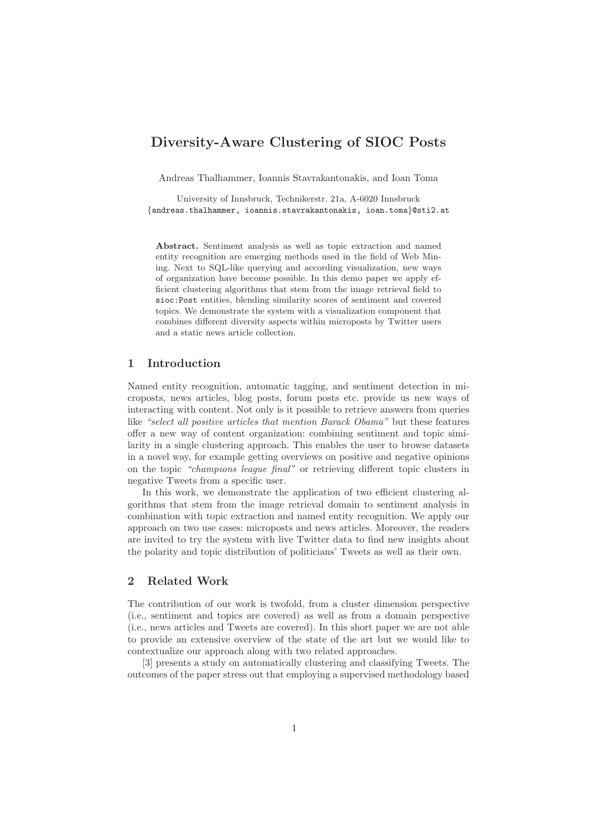# **Diversity-Aware Clustering of SIOC Posts**

Andreas Thalhammer, Ioannis Stavrakantonakis, and Ioan Toma

University of Innsbruck, Technikerstr. 21a, A-6020 Innsbruck {andreas.thalhammer, ioannis.stavrakantonakis, ioan.toma}@sti2.at

**Abstract.** Sentiment analysis as well as topic extraction and named entity recognition are emerging methods used in the field of Web Mining. Next to SQL-like querying and according visualization, new ways of organization have become possible. In this demo paper we apply efficient clustering algorithms that stem from the image retrieval field to sioc:Post entities, blending similarity scores of sentiment and covered topics. We demonstrate the system with a visualization component that combines different diversity aspects within microposts by Twitter users and a static news article collection.

#### **1 Introduction**

Named entity recognition, automatic tagging, and sentiment detection in microposts, news articles, blog posts, forum posts etc. provide us new ways of interacting with content. Not only is it possible to retrieve answers from queries like "select all positive articles that mention Barack Obama" but these features offer a new way of content organization: combining sentiment and topic similarity in a single clustering approach. This enables the user to browse datasets in a novel way, for example getting overviews on positive and negative opinions on the topic "champions league final" or retrieving different topic clusters in negative Tweets from a specific user.

In this work, we demonstrate the application of two efficient clustering algorithms that stem from the image retrieval domain to sentiment analysis in combination with topic extraction and named entity recognition. We apply our approach on two use cases: microposts and news articles. Moreover, the readers are invited to try the system with live Twitter data to find new insights about the polarity and topic distribution of politicians' Tweets as well as their own.

# **2 Related Work**

The contribution of our work is twofold, from a cluster dimension perspective (i.e., sentiment and topics are covered) as well as from a domain perspective (i.e., news articles and Tweets are covered). In this short paper we are not able to provide an extensive overview of the state of the art but we would like to contextualize our approach along with two related approaches.

[3] presents a study on automatically clustering and classifying Tweets. The outcomes of the paper stress out that employing a supervised methodology based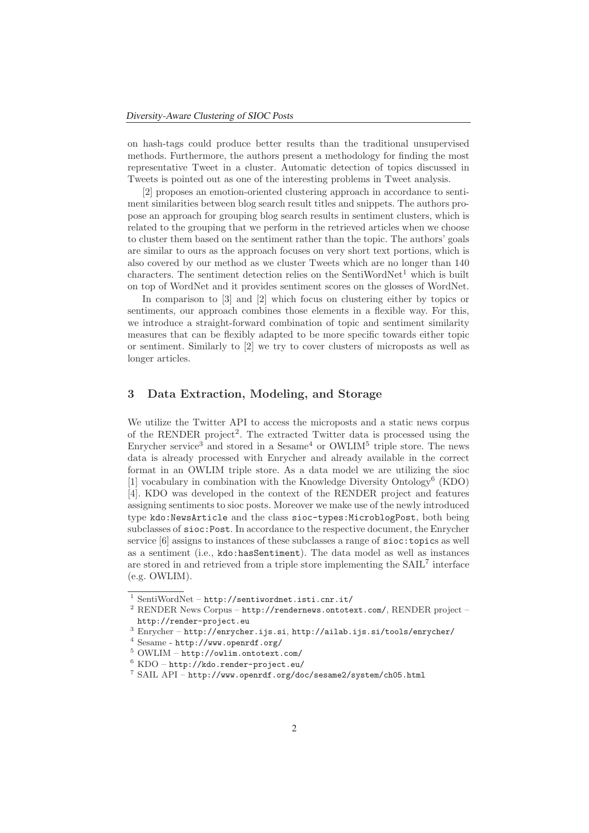on hash-tags could produce better results than the traditional unsupervised methods. Furthermore, the authors present a methodology for finding the most representative Tweet in a cluster. Automatic detection of topics discussed in Tweets is pointed out as one of the interesting problems in Tweet analysis.

[2] proposes an emotion-oriented clustering approach in accordance to sentiment similarities between blog search result titles and snippets. The authors propose an approach for grouping blog search results in sentiment clusters, which is related to the grouping that we perform in the retrieved articles when we choose to cluster them based on the sentiment rather than the topic. The authors' goals are similar to ours as the approach focuses on very short text portions, which is also covered by our method as we cluster Tweets which are no longer than 140 characters. The sentiment detection relies on the SentiWordNet<sup>1</sup> which is built on top of WordNet and it provides sentiment scores on the glosses of WordNet.

In comparison to [3] and [2] which focus on clustering either by topics or sentiments, our approach combines those elements in a flexible way. For this, we introduce a straight-forward combination of topic and sentiment similarity measures that can be flexibly adapted to be more specific towards either topic or sentiment. Similarly to [2] we try to cover clusters of microposts as well as longer articles.

### **3 Data Extraction, Modeling, and Storage**

We utilize the Twitter API to access the microposts and a static news corpus of the RENDER project2. The extracted Twitter data is processed using the Enrycher service<sup>3</sup> and stored in a Sesame<sup>4</sup> or  $\text{OWLIM}^5$  triple store. The news data is already processed with Enrycher and already available in the correct format in an OWLIM triple store. As a data model we are utilizing the sioc [1] vocabulary in combination with the Knowledge Diversity Ontology<sup>6</sup> (KDO) [4]. KDO was developed in the context of the RENDER project and features assigning sentiments to sioc posts. Moreover we make use of the newly introduced type kdo:NewsArticle and the class sioc-types:MicroblogPost, both being subclasses of sioc:Post. In accordance to the respective document, the Enrycher service [6] assigns to instances of these subclasses a range of sioc:topics as well as a sentiment (i.e., kdo:hasSentiment). The data model as well as instances are stored in and retrieved from a triple store implementing the  $SAL<sup>7</sup>$  interface (e.g. OWLIM).

 $^1$  SentiWordNet – http://sentiwordnet.isti.cnr.it/

<sup>&</sup>lt;sup>2</sup> RENDER News Corpus – http://rendernews.ontotext.com/, RENDER project – http://render-project.eu

 $^3$  Enrycher – http://enrycher.ijs.si, http://ailab.ijs.si/tools/enrycher/

<sup>4</sup> Sesame - http://www.openrdf.org/

 $5$  OWLIM – http://owlim.ontotext.com/

 $6$  KDO – http://kdo.render-project.eu/

<sup>7</sup> SAIL API – http://www.openrdf.org/doc/sesame2/system/ch05.html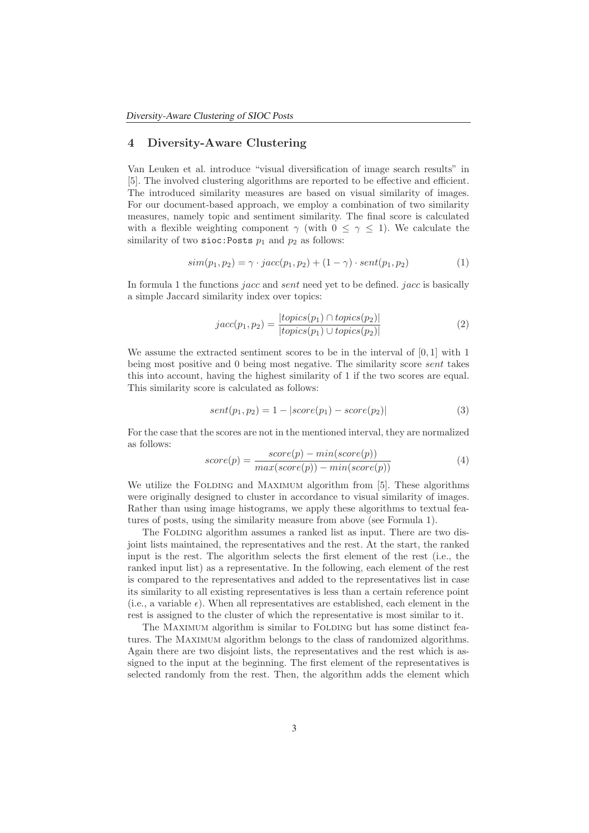# **4 Diversity-Aware Clustering**

Van Leuken et al. introduce "visual diversification of image search results" in [5]. The involved clustering algorithms are reported to be effective and efficient. The introduced similarity measures are based on visual similarity of images. For our document-based approach, we employ a combination of two similarity measures, namely topic and sentiment similarity. The final score is calculated with a flexible weighting component  $\gamma$  (with  $0 \leq \gamma \leq 1$ ). We calculate the similarity of two sioc: Posts  $p_1$  and  $p_2$  as follows:

$$
sim(p_1, p_2) = \gamma \cdot jacc(p_1, p_2) + (1 - \gamma) \cdot sent(p_1, p_2)
$$
 (1)

In formula 1 the functions *jacc* and *sent* need yet to be defined. *jacc* is basically a simple Jaccard similarity index over topics:

$$
jacc(p_1, p_2) = \frac{|topics(p_1) \cap topics(p_2)|}{|topics(p_1) \cup topics(p_2)|}
$$
\n(2)

We assume the extracted sentiment scores to be in the interval of [0, 1] with 1 being most positive and 0 being most negative. The similarity score sent takes this into account, having the highest similarity of 1 if the two scores are equal. This similarity score is calculated as follows:

$$
sent(p_1, p_2) = 1 - |score(p_1) - score(p_2)|
$$
\n(3)

For the case that the scores are not in the mentioned interval, they are normalized as follows:

$$
score(p) = \frac{score(p) - min(score(p))}{max(score(p)) - min(score(p))}
$$
\n(4)

We utilize the FOLDING and MAXIMUM algorithm from [5]. These algorithms were originally designed to cluster in accordance to visual similarity of images. Rather than using image histograms, we apply these algorithms to textual features of posts, using the similarity measure from above (see Formula 1).

The FOLDING algorithm assumes a ranked list as input. There are two disjoint lists maintained, the representatives and the rest. At the start, the ranked input is the rest. The algorithm selects the first element of the rest (i.e., the ranked input list) as a representative. In the following, each element of the rest is compared to the representatives and added to the representatives list in case its similarity to all existing representatives is less than a certain reference point (i.e., a variable  $\epsilon$ ). When all representatives are established, each element in the rest is assigned to the cluster of which the representative is most similar to it.

The MAXIMUM algorithm is similar to FOLDING but has some distinct features. The Maximum algorithm belongs to the class of randomized algorithms. Again there are two disjoint lists, the representatives and the rest which is assigned to the input at the beginning. The first element of the representatives is selected randomly from the rest. Then, the algorithm adds the element which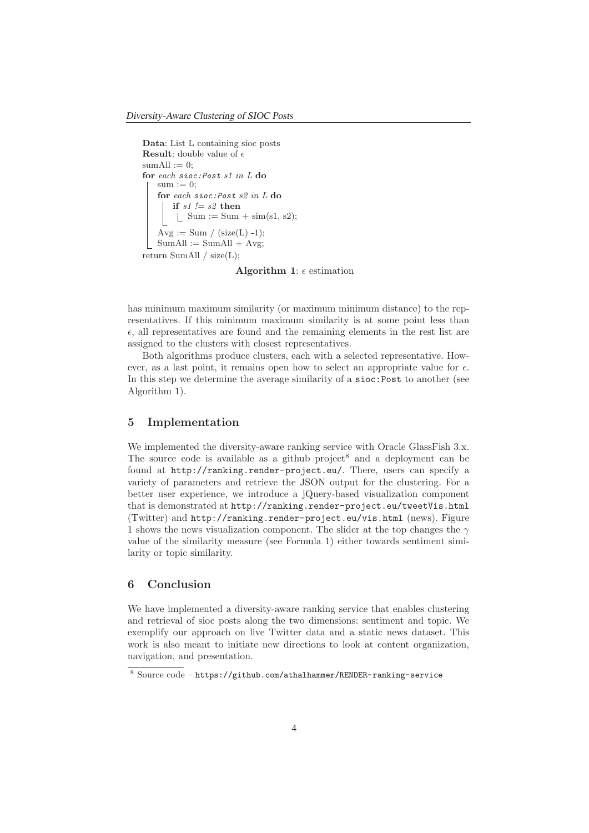```
Data: List L containing sioc posts
Result: double value of \epsilonsumAll := 0:
for each sioc:Post s1 in L do
    sum := 0;for each sioc:Post s2 in L do
       if s1 := s2 then
        \|\quad \text{Sum} := \text{Sum} + \text{sim(s1, s2)};Avg := Sum / (size(L) -1);SumAll := SumAll + Avg;return SumAll / size(L);
```
**Algorithm 1**:  $\epsilon$  estimation

has minimum maximum similarity (or maximum minimum distance) to the representatives. If this minimum maximum similarity is at some point less than  $\epsilon$ , all representatives are found and the remaining elements in the rest list are assigned to the clusters with closest representatives.

Both algorithms produce clusters, each with a selected representative. However, as a last point, it remains open how to select an appropriate value for  $\epsilon$ . In this step we determine the average similarity of a sioc:Post to another (see Algorithm 1).

#### **5 Implementation**

We implemented the diversity-aware ranking service with Oracle GlassFish 3.x. The source code is available as a github project<sup>8</sup> and a deployment can be found at http://ranking.render-project.eu/. There, users can specify a variety of parameters and retrieve the JSON output for the clustering. For a better user experience, we introduce a jQuery-based visualization component that is demonstrated at http://ranking.render-project.eu/tweetVis.html (Twitter) and http://ranking.render-project.eu/vis.html (news). Figure 1 shows the news visualization component. The slider at the top changes the  $\gamma$ value of the similarity measure (see Formula 1) either towards sentiment similarity or topic similarity.

## **6 Conclusion**

We have implemented a diversity-aware ranking service that enables clustering and retrieval of sioc posts along the two dimensions: sentiment and topic. We exemplify our approach on live Twitter data and a static news dataset. This work is also meant to initiate new directions to look at content organization, navigation, and presentation.

<sup>8</sup> Source code – https://github.com/athalhammer/RENDER-ranking-service